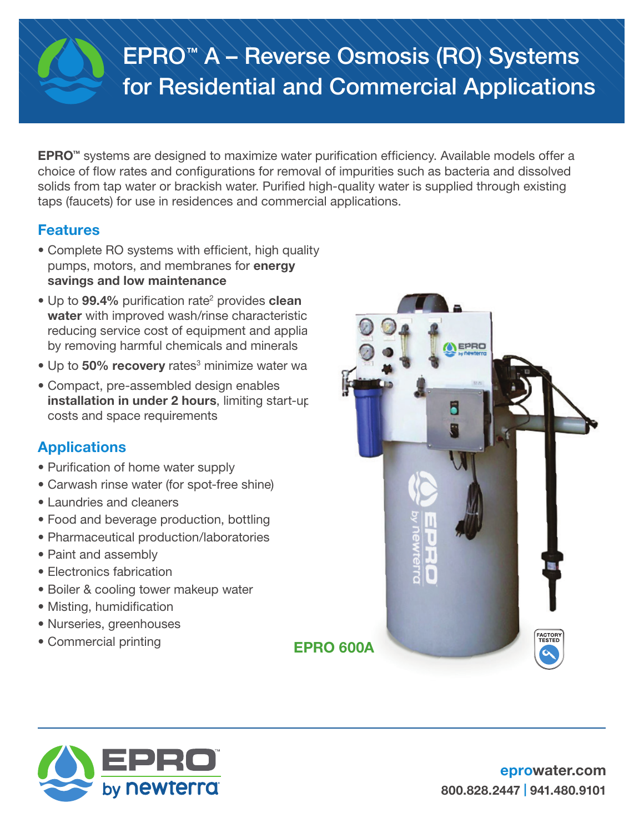# EPRO™ A – Reverse Osmosis (RO) Systems for Residential and Commercial Applications

EPRO™ systems are designed to maximize water purification efficiency. Available models offer a choice of flow rates and configurations for removal of impurities such as bacteria and dissolved solids from tap water or brackish water. Purified high-quality water is supplied through existing taps (faucets) for use in residences and commercial applications.

# Features

- Complete RO systems with efficient, high quality pumps, motors, and membranes for energy savings and low maintenance
- Up to 99.4% purification rate<sup>2</sup> provides clean water with improved wash/rinse characteristic reducing service cost of equipment and applia by removing harmful chemicals and minerals
- Up to 50% recovery rates<sup>3</sup> minimize water was the
- Compact, pre-assembled design enables installation in under 2 hours, limiting start-up costs and space requirements

# **Applications**

- Purification of home water supply
- Carwash rinse water (for spot-free shine)
- Laundries and cleaners
- Food and beverage production, bottling
- Pharmaceutical production/laboratories
- Paint and assembly
- Electronics fabrication
- Boiler & cooling tower makeup water
- Misting, humidification
- Nurseries, greenhouses
- Commercial printing EPRO 600A